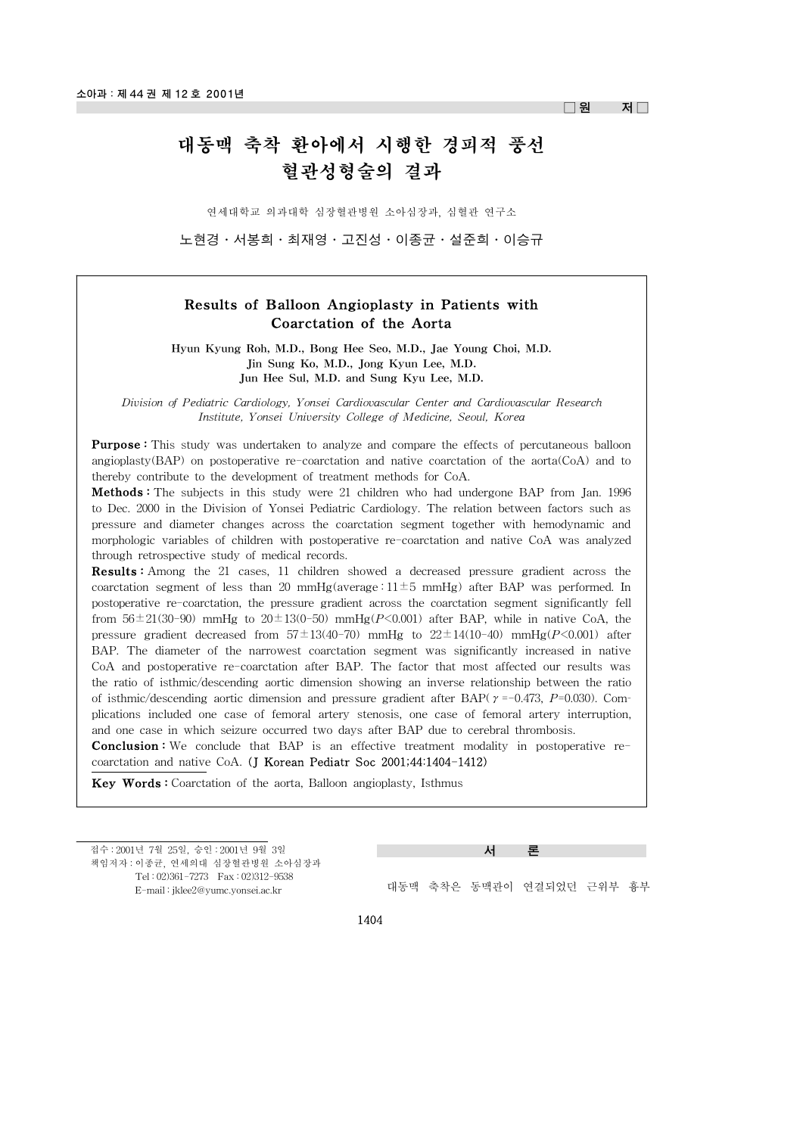# 대동맥 축착 환아에서 시행한 경피적 풍선 혈관성형술의 결과

연세대학교 의과대학 심장혈관병원 소아심장과, 심혈관 연구소

노현경·서봉희·최재영·고진성·이종균·설준희·이승규

## Results of Balloon Angioplasty in Patients with Coarctation of the Aorta

Hyun Kyung Roh, M.D., Bong Hee Seo, M.D., Jae Young Choi, M.D. Jin Sung Ko, M.D., Jong Kyun Lee, M.D. Jun Hee Sul, M.D. and Sung Kyu Lee, M.D.

*Division of Pediatric Cardiology, Yonsei Cardiovascular Center and Cardiovascular Research Institute, Yonsei University College of Medicine, Seoul, Korea*

**Purpose**: This study was undertaken to analyze and compare the effects of percutaneous balloon angioplasty(BAP) on postoperative re-coarctation and native coarctation of the aorta(CoA) and to thereby contribute to the development of treatment methods for CoA.

Methods : The subjects in this study were 21 children who had undergone BAP from Jan. 1996 to Dec. 2000 in the Division of Yonsei Pediatric Cardiology. The relation between factors such as pressure and diameter changes across the coarctation segment together with hemodynamic and morphologic variables of children with postoperative re-coarctation and native CoA was analyzed through retrospective study of medical records.

Results : Among the 21 cases, 11 children showed a decreased pressure gradient across the coarctation segment of less than 20 mmHg(average :  $11\pm5$  mmHg) after BAP was performed. In postoperative re-coarctation, the pressure gradient across the coarctation segment significantly fell from  $56\pm21(30-90)$  mmHg to  $20\pm13(0-50)$  mmHg( $P\leq 0.001$ ) after BAP, while in native CoA, the pressure gradient decreased from  $57 \pm 13(40-70)$  mmHg to  $22 \pm 14(10-40)$  mmHg( $P \le 0.001$ ) after BAP. The diameter of the narrowest coarctation segment was significantly increased in native CoA and postoperative re-coarctation after BAP. The factor that most affected our results was the ratio of isthmic/descending aortic dimension showing an inverse relationship between the ratio of isthmic/descending aortic dimension and pressure gradient after BAP(γ=-0.473, *P*=0.030). Complications included one case of femoral artery stenosis, one case of femoral artery interruption, and one case in which seizure occurred two days after BAP due to cerebral thrombosis.

**Conclusion :** We conclude that BAP is an effective treatment modality in postoperative recoarctation and native CoA. (J Korean Pediatr Soc 2001;44:1404-1412)

Key Words : Coarctation of the aorta, Balloon angioplasty, Isthmus

접수 : 2001년 7월 25일, 승인 : 2001년 9월 3일 책임저자 : 이종균, 연세의대 심장혈관병원 소아심장과 Tel : 02)361-7273 Fax : 02)312-9538 E-mail : jklee2@yumc.yonsei.ac.kr

대동맥 축착은 동맥관이 연결되었던 근위부 흉부

1404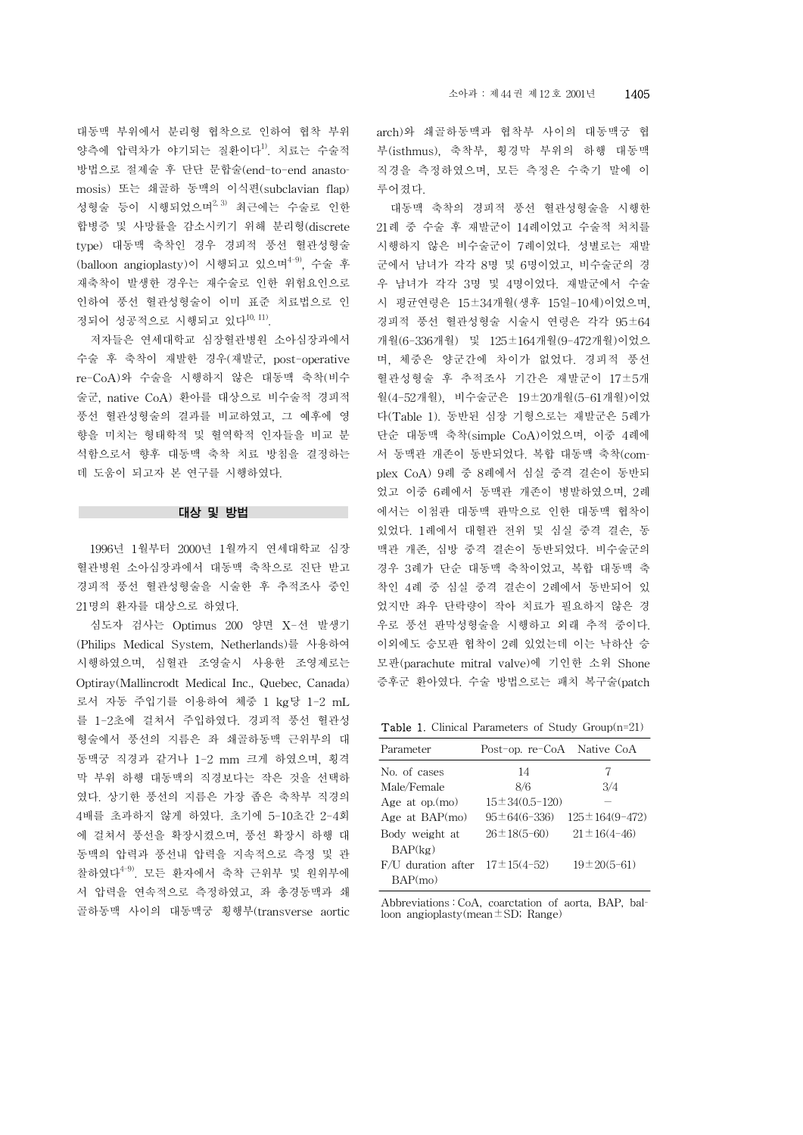대동맥 부위에서 분리형 협착으로 인하여 협착 부위 양측에 압력차가 야기되는 질환이다<sup>1)</sup>. 치료는 수술적 방법으로 절제술 후 단단 문합술(end-to-end anastomosis) 또는 쇄골하 동맥의 이식편(subclavian flap) 성형술 등이 시행되었으며<sup>2, 3)</sup> 최근에는 수술로 인한 합병증 및 사망률을 감소시키기 위해 분리형(discrete type) 대동맥 축착인 경우 경피적 풍선 혈관성형술 (balloon angioplasty)이 시행되고 있으며<sup>4-9)</sup>, 수술 후 재축착이 발생한 경우는 재수술로 인한 위험요인으로 인하여 풍선 혈관성형술이 이미 표준 치료법으로 인 정되어 성공적으로 시행되고 있다10, 11).

저자들은 연세대학교 심장혈관병원 소아심장과에서 수술 후 축착이 재발한 경우(재발군, post-operative re-CoA)와 수술을 시행하지 않은 대동맥 축착(비수 술군, native CoA) 환아를 대상으로 비수술적 경피적 풍선 혈관성형술의 결과를 비교하였고, 그 예후에 영 향을 미치는 형태학적 및 혈역학적 인자들을 비교 분 석함으로서 향후 대동맥 축착 치료 방침을 결정하는 데 도움이 되고자 본 연구를 시행하였다.

#### 대상 및 방법

1996년 1월부터 2000년 1월까지 연세대학교 심장 혈관병원 소아심장과에서 대동맥 축착으로 진단 받고 경피적 풍선 혈관성형술을 시술한 후 추적조사 중인 21명의 환자를 대상으로 하였다.

심도자 검사는 Optimus 200 양면 X-선 발생기 (Philips Medical System, Netherlands)를 사용하여 시행하였으며, 심혈관 조영술시 사용한 조영제로는 Optiray(Mallincrodt Medical Inc., Quebec, Canada) 로서 자동 주입기를 이용하여 체중 1 kg당 1-2 mL 를 1-2초에 걸쳐서 주입하였다. 경피적 풍선 혈관성 형술에서 풍선의 지름은 좌 쇄골하동맥 근위부의 대 동맥궁 직경과 같거나 1-2 mm 크게 하였으며, 횡격 막 부위 하행 대동맥의 직경보다는 작은 것을 선택하 였다. 상기한 풍선의 지름은 가장 좁은 축착부 직경의 4배를 초과하지 않게 하였다. 초기에 5-10초간 2-4회 에 걸쳐서 풍선을 확장시켰으며, 풍선 확장시 하행 대 동맥의 압력과 풍선내 압력을 지속적으로 측정 및 관 찰하였다4-9). 모든 환자에서 축착 근위부 및 원위부에 서 압력을 연속적으로 측정하였고, 좌 총경동맥과 쇄 골하동맥 사이의 대동맥궁 횡행부(transverse aortic arch)와 쇄골하동맥과 협착부 사이의 대동맥궁 협 부(isthmus), 축착부, 횡경막 부위의 하행 대동맥 직경을 측정하였으며, 모든 측정은 수축기 말에 이 루어졌다.

대동맥 축착의 경피적 풍선 혈관성형술을 시행한 21례 중 수술 후 재발군이 14례이었고 수술적 처치를 시행하지 않은 비수술군이 7례이었다. 성별로는 재발 군에서 남녀가 각각 8명 및 6명이었고, 비수술군의 경 우 남녀가 각각 3명 및 4명이었다. 재발군에서 수술 시 평균연령은 15±34개월(생후 15일-10세)이었으며, 경피적 풍선 혈관성형술 시술시 연령은 각각 95±64 개월(6-336개월) 및 125±164개월(9-472개월)이었으 며, 체중은 양군간에 차이가 없었다. 경피적 풍선 혈관성형술 후 추적조사 기간은 재발군이 17±5개 월(4-52개월), 비수술군은 19±20개월(5-61개월)이었 다(Table 1). 동반된 심장 기형으로는 재발군은 5례가 단순 대동맥 축착(simple CoA)이었으며, 이중 4례에 서 동맥관 개존이 동반되었다. 복합 대동맥 축착(complex CoA) 9례 중 8례에서 심실 중격 결손이 동반되 었고 이중 6례에서 동맥관 개존이 병발하였으며, 2례 에서는 이첨판 대동맥 판막으로 인한 대동맥 협착이 있었다. 1례에서 대혈관 전위 및 심실 중격 결손, 동 맥관 개존, 심방 중격 결손이 동반되었다. 비수술군의 경우 3례가 단순 대동맥 축착이었고, 복합 대동맥 축 착인 4례 중 심실 중격 결손이 2례에서 동반되어 있 었지만 좌우 단락량이 작아 치료가 필요하지 않은 경 우로 풍선 판막성형술을 시행하고 외래 추적 중이다. 이외에도 승모판 협착이 2례 있었는데 이는 낙하산 승 모판(parachute mitral valve)에 기인한 소위 Shone 증후군 환아였다. 수술 방법으로는 패치 복구술(patch

Table 1. Clinical Parameters of Study Group(n=21)

| Parameter                              | Post-op. re-CoA Native CoA |                        |
|----------------------------------------|----------------------------|------------------------|
| No. of cases                           | 14                         | 7                      |
| Male/Female                            | 8/6                        | 3/4                    |
| Age at $op(mo)$                        | $15 \pm 34(0.5 - 120)$     |                        |
| Age at $BAP(mo)$                       | $95 \pm 64(6 - 336)$       | $125 \pm 164(9 - 472)$ |
| Body weight at                         | $26 \pm 18(5 - 60)$        | $21 \pm 16(4 - 46)$    |
| BAP(kg)                                |                            |                        |
| $F/U$ duration after $17 \pm 15(4-52)$ |                            | $19 \pm 20(5 - 61)$    |
| BAP(mo)                                |                            |                        |

Abbreviations : CoA, coarctation of aorta, BAP, balloon angioplasty (mean  $\pm$  SD; Range)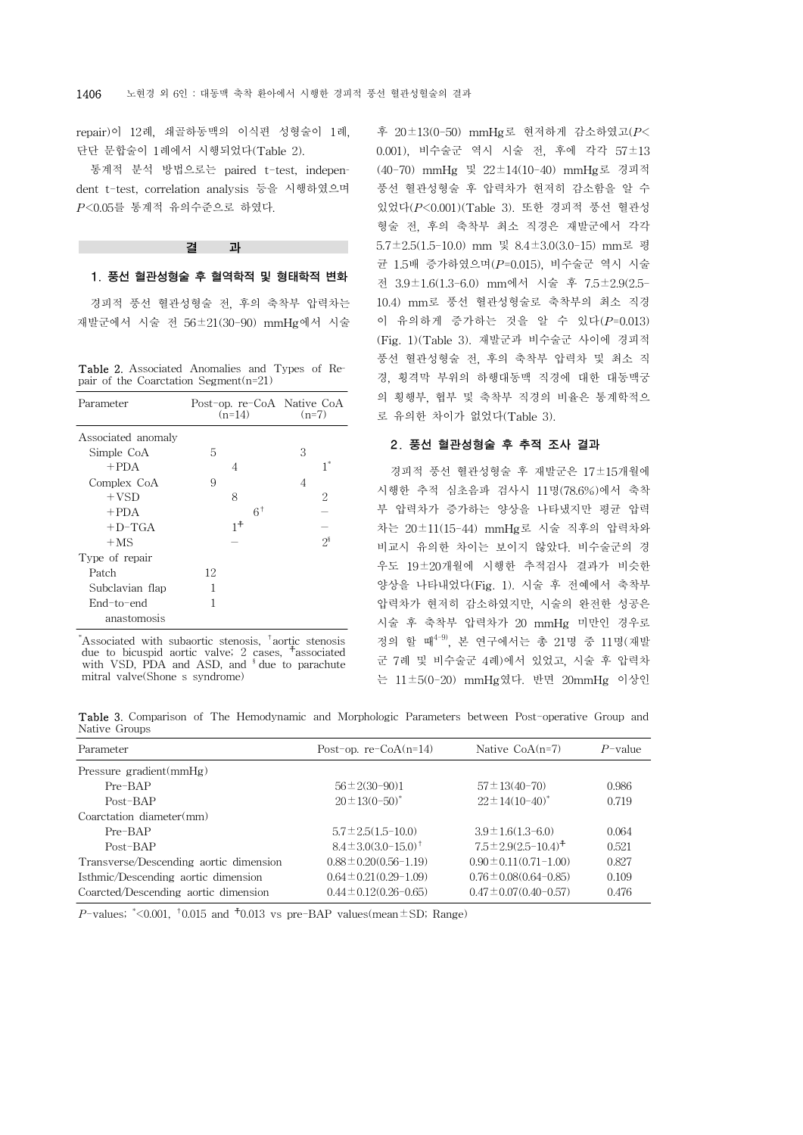repair)이 12례, 쇄골하동맥의 이식편 성형술이 1례, 단단 문합술이 1례에서 시행되었다(Table 2).

통계적 분석 방법으로는 paired t-test, independent t-test, correlation analysis 등을 시행하였으며 *P*<0.05를 통계적 유의수준으로 하였다.

결 과

## 1. 풍선 혈관성형술 후 혈역학적 및 형태학적 변화

경피적 풍선 혈관성형술 전, 후의 축착부 압력차는 재발군에서 시술 전 56±21(30-90) mmHg에서 시술

Table 2. Associated Anomalies and Types of Repair of the Coarctation Segment(n=21)

| Parameter          | Post-op. re-CoA Native CoA<br>$(n=14)$ |       | $(n=7)$ |   |          |
|--------------------|----------------------------------------|-------|---------|---|----------|
| Associated anomaly |                                        |       |         |   |          |
| Simple CoA         | 5                                      |       |         | 3 |          |
| $+PDA$             |                                        | 4     |         |   |          |
| Complex CoA        | 9                                      |       |         | 4 |          |
| $+VSD$             |                                        | 8     |         |   | 2        |
| $+$ PDA            |                                        |       | $6^+$   |   |          |
| $+D-TGA$           |                                        | $1^+$ |         |   |          |
| $+MS$              |                                        |       |         |   | $2^{\$}$ |
| Type of repair     |                                        |       |         |   |          |
| Patch              | 12                                     |       |         |   |          |
| Subclavian flap    | 1                                      |       |         |   |          |
| End-to-end         |                                        |       |         |   |          |
| anastomosis        |                                        |       |         |   |          |

\* Associated with subaortic stenosis, †aortic stenosis due to bicuspid aortic valve; 2 cases, ☨associated with VSD, PDA and ASD, and  $\degree$  due to parachute mitral valve(Shone s syndrome)

후 20±13(0-50) mmHg로 현저하게 감소하였고(*P*< 0.001), 비수술군 역시 시술 전, 후에 각각 57±13 (40-70) mmHg 및 22±14(10-40) mmHg로 경피적 풍선 혈관성형술 후 압력차가 현저히 감소함을 알 수 있었다(*P*<0.001)(Table 3). 또한 경피적 풍선 혈관성 형술 전, 후의 축착부 최소 직경은 재발군에서 각각 5.7±2.5(1.5-10.0) mm 및 8.4±3.0(3.0-15) mm로 평 균 1.5배 증가하였으며(*P*=0.015), 비수술군 역시 시술 전 3.9±1.6(1.3-6.0) mm에서 시술 후 7.5±2.9(2.5- 10.4) mm로 풍선 혈관성형술로 축착부의 최소 직경 이 유의하게 증가하는 것을 알 수 있다(*P*=0.013) (Fig. 1)(Table 3). 재발군과 비수술군 사이에 경피적 풍선 혈관성형술 전, 후의 축착부 압력차 및 최소 직 경, 횡격막 부위의 하행대동맥 직경에 대한 대동맥궁 의 횡행부, 협부 및 축착부 직경의 비율은 통계학적으 로 유의한 차이가 없었다(Table 3).

## 2. 풍선 혈관성형술 후 추적 조사 결과

경피적 풍선 혈관성형술 후 재발군은 17±15개월에 시행한 추적 심초음파 검사시 11명(78.6%)에서 축착 부 압력차가 증가하는 양상을 나타냈지만 평균 압력 차는 20±11(15-44) mmHg로 시술 직후의 압력차와 비교시 유의한 차이는 보이지 않았다. 비수술군의 경 우도 19±20개월에 시행한 추적검사 결과가 비슷한 양상을 나타내었다(Fig. 1). 시술 후 전예에서 축착부 압력차가 현저히 감소하였지만, 시술의 완전한 성공은 시술 후 축착부 압력차가 20 mmHg 미만인 경우로 정의 할 때4-9), 본 연구에서는 총 21명 중 11명(재발 군 7례 및 비수술군 4례)에서 있었고, 시술 후 압력차 는 11±5(0-20) mmHg였다. 반면 20mmHg 이상인

Table 3. Comparison of The Hemodynamic and Morphologic Parameters between Post-operative Group and Native Groups

| Parameter                              | Post-op. $re\text{-}CoA(n=14)$ | Native $CoA(n=7)$             | $P$ -value |
|----------------------------------------|--------------------------------|-------------------------------|------------|
| Pressure $gradient(mmHg)$              |                                |                               |            |
| $Pre-BAP$                              | $56 \pm 2(30 - 90)1$           | $57 \pm 13(40 - 70)$          | 0.986      |
| Post-BAP                               | $20 \pm 13(0 - 50)^*$          | $22 \pm 14(10-40)^*$          | 0.719      |
| Coarctation diameter(mm)               |                                |                               |            |
| $Pre-BAP$                              | $5.7 \pm 2.5(1.5 - 10.0)$      | $3.9 \pm 1.6(1.3 - 6.0)$      | 0.064      |
| Post-BAP                               | $8.4 \pm 3.0(3.0 - 15.0)^+$    | $7.5 \pm 2.9(2.5 - 10.4)^{+}$ | 0.521      |
| Transverse/Descending aortic dimension | $0.88 \pm 0.20(0.56 - 1.19)$   | $0.90 \pm 0.11(0.71 - 1.00)$  | 0.827      |
| Isthmic/Descending aortic dimension    | $0.64 \pm 0.21(0.29 - 1.09)$   | $0.76 \pm 0.08(0.64 - 0.85)$  | 0.109      |
| Coarcted/Descending aortic dimension   | $0.44 \pm 0.12(0.26 - 0.65)$   | $0.47 \pm 0.07(0.40 - 0.57)$  | 0.476      |

*P*-values;  $*<$  0.001,  $*$  0.015 and  $*$  0.013 vs pre-BAP values(mean  $\pm$  SD; Range)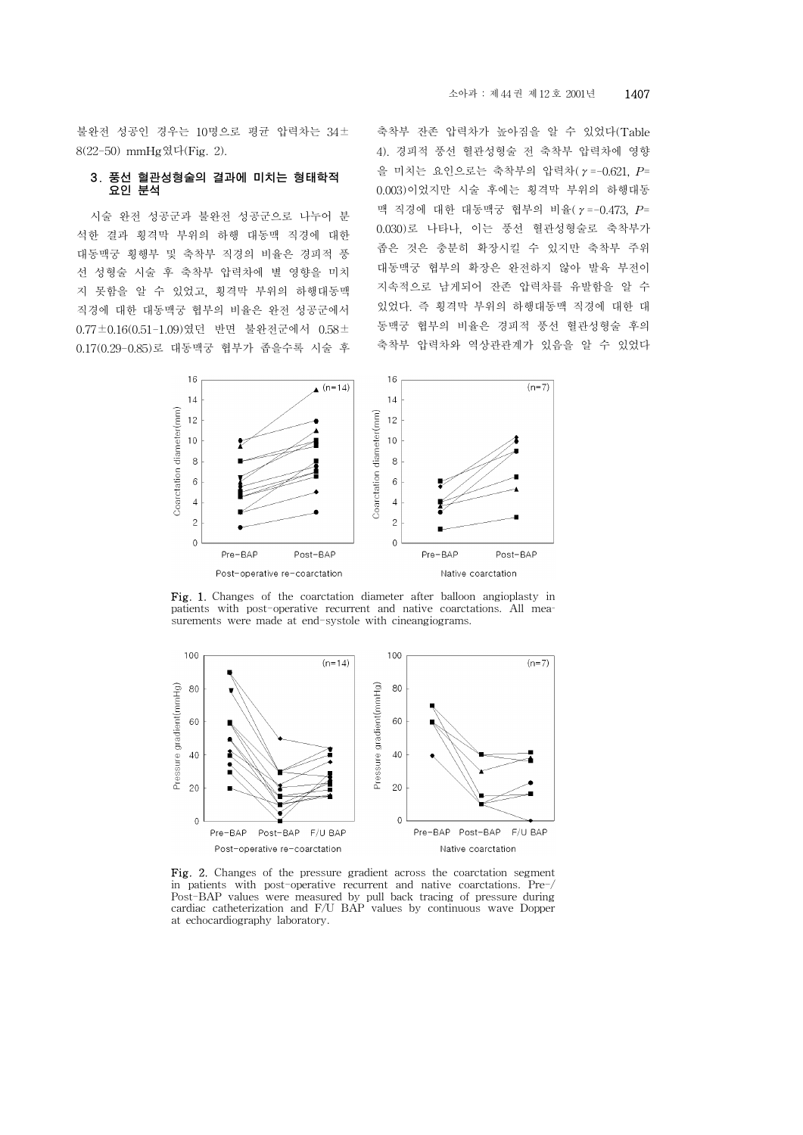불완전 성공인 경우는 10명으로 평균 압력차는 34± 8(22-50) mmHg였다(Fig. 2).

## 3. 풍선 혈관성형술의 결과에 미치는 형태학적 요인 분석

시술 완전 성공군과 불완전 성공군으로 나누어 분 석한 결과 횡격막 부위의 하행 대동맥 직경에 대한 대동맥궁 횡행부 및 축착부 직경의 비율은 경피적 풍 선 성형술 시술 후 축착부 압력차에 별 영향을 미치 지 못함을 알 수 있었고, 횡격막 부위의 하행대동맥 직경에 대한 대동맥궁 협부의 비율은 완전 성공군에서 0.77±0.16(0.51-1.09)였던 반면 불완전군에서 0.58± 0.17(0.29-0.85)로 대동맥궁 협부가 좁을수록 시술 후

축착부 잔존 압력차가 높아짐을 알 수 있었다(Table 4). 경피적 풍선 혈관성형술 전 축착부 압력차에 영향 을 미치는 요인으로는 축착부의 압력차(γ=-0.621, *P*= 0.003)이었지만 시술 후에는 횡격막 부위의 하행대동 맥 직경에 대한 대동맥궁 협부의 비율(γ=-0.473, *P*= 0.030)로 나타나, 이는 풍선 혈관성형술로 축착부가 좁은 것은 충분히 확장시킬 수 있지만 축착부 주위 대동맥궁 협부의 확장은 완전하지 않아 발육 부전이 지속적으로 남게되어 잔존 압력차를 유발함을 알 수 있었다. 즉 횡격막 부위의 하행대동맥 직경에 대한 대 동맥궁 협부의 비율은 경피적 풍선 혈관성형술 후의 축착부 압력차와 역상관관계가 있음을 알 수 있었다



Fig. 1. Changes of the coarctation diameter after balloon angioplasty in patients with post-operative recurrent and native coarctations. All measurements were made at end-systole with cineangiograms.



Fig. 2. Changes of the pressure gradient across the coarctation segment in patients with post-operative recurrent and native coarctations. Pre-Post-BAP values were measured by pull back tracing of pressure during cardiac catheterization and F/U BAP values by continuous wave Dopper at echocardiography laboratory.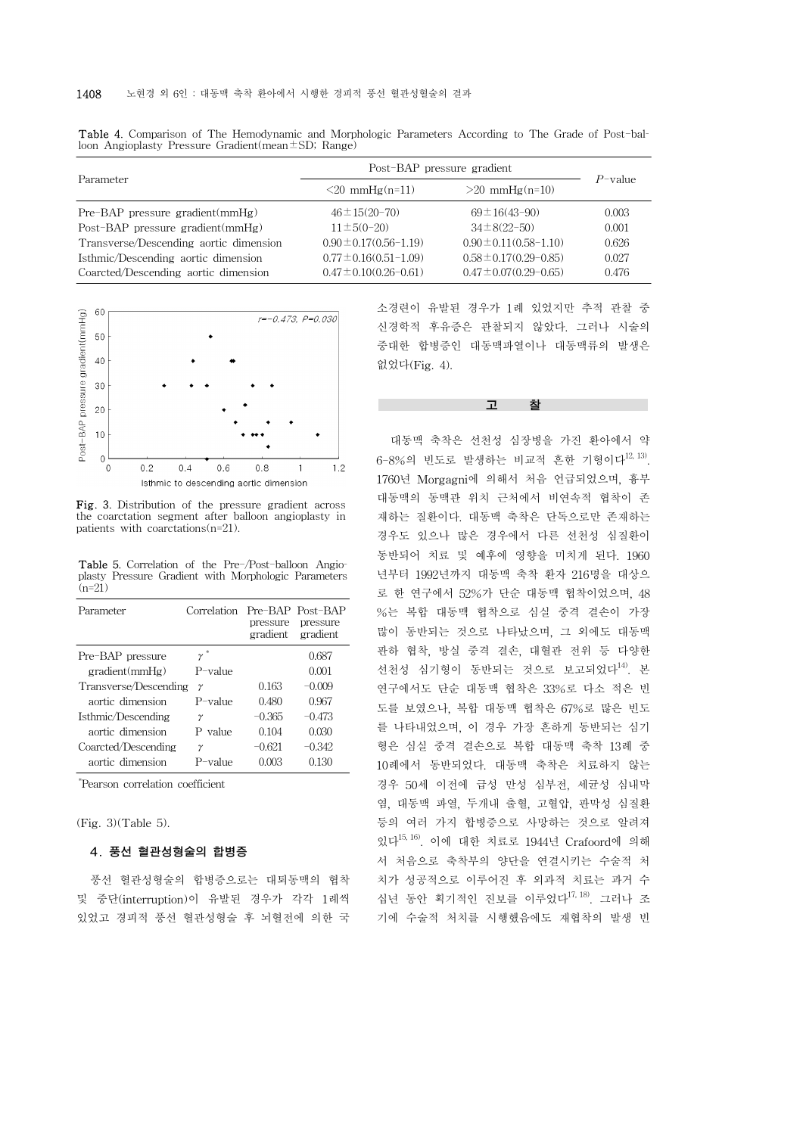| Parameter                              | Post-BAP pressure gradient   | $P$ -value                   |       |
|----------------------------------------|------------------------------|------------------------------|-------|
|                                        | $\leq$ 20 mmHg $(n=11)$      | $>20$ mmHg(n=10)             |       |
| $Pre-BAP$ pressure gradient( $mmHg$ )  | $46 \pm 15(20 - 70)$         | $69 \pm 16(43 - 90)$         | 0.003 |
| $Post-BAP$ pressure gradient( $mmHg$ ) | $11 \pm 5(0-20)$             | $34 \pm 8(22 - 50)$          | 0.001 |
| Transverse/Descending aortic dimension | $0.90 \pm 0.17(0.56 - 1.19)$ | $0.90 \pm 0.11(0.58 - 1.10)$ | 0.626 |
| Isthmic/Descending aortic dimension    | $0.77 \pm 0.16(0.51 - 1.09)$ | $0.58 \pm 0.17(0.29 - 0.85)$ | 0.027 |
| Coarcted/Descending aortic dimension   | $0.47 \pm 0.10(0.26 - 0.61)$ | $0.47 \pm 0.07(0.29 - 0.65)$ | 0.476 |

Table 4. Comparison of The Hemodynamic and Morphologic Parameters According to The Grade of Post-balloon Angioplasty Pressure Gradient(mean±SD; Range)



Fig. 3. Distribution of the pressure gradient across the coarctation segment after balloon angioplasty in patients with coarctations(n=21).

Table 5. Correlation of the Pre-/Post-balloon Angioplasty Pressure Gradient with Morphologic Parameters  $(n=21)$ 

| Parameter             | Correlation | pressure<br>gradient | Pre-BAP Post-BAP<br>pressure<br>gradient |
|-----------------------|-------------|----------------------|------------------------------------------|
| Pre-BAP pressure      | $\gamma$    |                      | 0.687                                    |
| gradient(mmHg)        | $P-value$   |                      | 0.001                                    |
| Transverse/Descending | γ           | 0.163                | $-0.009$                                 |
| aortic dimension      | $P-value$   | 0.480                | 0.967                                    |
| Isthmic/Descending    | γ           | -0.365               | $-0.473$                                 |
| aortic dimension      | P value     | 0.104                | 0.030                                    |
| Coarcted/Descending   | γ           | $-0.621$             | $-0.342$                                 |
| aortic dimension      | P-value     | 0.003                | 0.130                                    |

\* Pearson correlation coefficient

(Fig. 3)(Table 5).

## 4. 풍선 혈관성형술의 합병증

풍선 혈관성형술의 합병증으로는 대퇴동맥의 협착 및 중단(interruption)이 유발된 경우가 각각 1례씩 있었고 경피적 풍선 혈관성형술 후 뇌혈전에 의한 국 소경련이 유발된 경우가 1례 있었지만 추적 관찰 중 신경학적 후유증은 관찰되지 않았다. 그러나 시술의 중대한 합병증인 대동맥파열이나 대동맥류의 발생은 없었다(Fig. 4).

고 착

대동맥 축착은 선천성 심장병을 가진 환아에서 약 6-8%의 빈도로 발생하는 비교적 흔한 기형이다12, 13). 1760년 Morgagni에 의해서 처음 언급되었으며, 흉부 대동맥의 동맥관 위치 근처에서 비연속적 협착이 존 재하는 질환이다. 대동맥 축착은 단독으로만 존재하는 경우도 있으나 많은 경우에서 다른 선천성 심질환이 동반되어 치료 및 예후에 영향을 미치게 된다. 1960 년부터 1992년까지 대동맥 축착 환자 216명을 대상으 로 한 연구에서 52%가 단순 대동맥 협착이었으며, 48 %는 복합 대동맥 협착으로 심실 중격 결손이 가장 많이 동반되는 것으로 나타났으며, 그 외에도 대동맥 판하 협착, 방실 중격 결손, 대혈관 전위 등 다양한 선천성 심기형이 동반되는 것으로 보고되었다<sup>14)</sup>. 본 연구에서도 단순 대동맥 협착은 33%로 다소 적은 빈 도를 보였으나, 복합 대동맥 협착은 67%로 많은 빈도 를 나타내었으며, 이 경우 가장 흔하게 동반되는 심기 형은 심실 중격 결손으로 복합 대동맥 축착 13례 중 10례에서 동반되었다. 대동맥 축착은 치료하지 않는 경우 50세 이전에 급성 만성 심부전, 세균성 심내막 염, 대동맥 파열, 두개내 출혈, 고혈압, 판막성 심질환 등의 여러 가지 합병증으로 사망하는 것으로 알려져 있다15, 16). 이에 대한 치료로 1944년 Crafoord에 의해 서 처음으로 축착부의 양단을 연결시키는 수술적 처 치가 성공적으로 이루어진 후 외과적 치료는 과거 수 십년 동안 획기적인 진보를 이루었다<sup>17, 18</sup>. 그러나 조 기에 수술적 처치를 시행했음에도 재협착의 발생 빈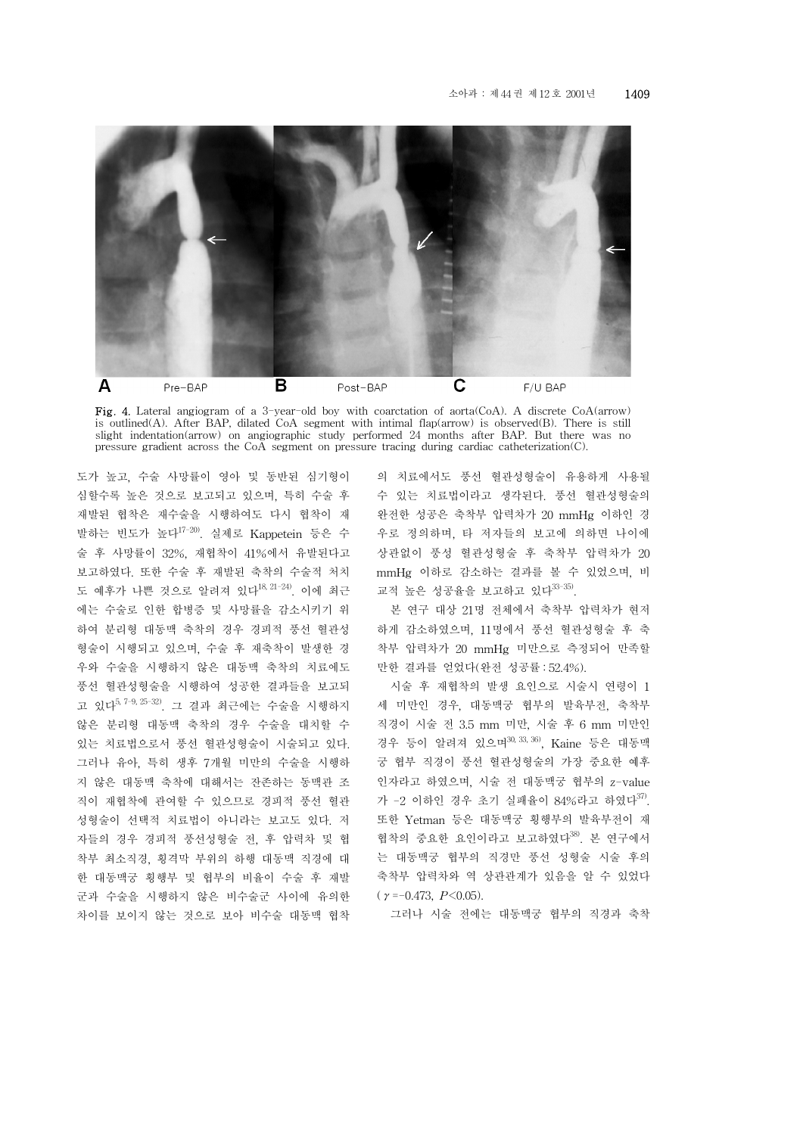

Fig. 4. Lateral angiogram of a 3-year-old boy with coarctation of aorta(CoA). A discrete CoA(arrow) is outlined(A). After BAP, dilated CoA segment with intimal flap(arrow) is observed(B). There is still slight indentation(arrow) on angiographic study performed 24 months after BAP. But there was no pressure gradient across the CoA segment on pressure tracing during cardiac catheterization(C).

도가 높고, 수술 사망률이 영아 및 동반된 심기형이 심할수록 높은 것으로 보고되고 있으며, 특히 수술 후 재발된 협착은 재수술을 시행하여도 다시 협착이 재 발하는 빈도가 높다17-20). 실제로 Kappetein 등은 수 술 후 사망률이 32%, 재협착이 41%에서 유발된다고 보고하였다. 또한 수술 후 재발된 축착의 수술적 처치 도 예후가 나쁜 것으로 알려져 있다18, 21-24). 이에 최근 에는 수술로 인한 합병증 및 사망률을 감소시키기 위 하여 분리형 대동맥 축착의 경우 경피적 풍선 혈관성 형술이 시행되고 있으며, 수술 후 재축착이 발생한 경 우와 수술을 시행하지 않은 대동맥 축착의 치료에도 풍선 혈관성형술을 시행하여 성공한 결과들을 보고되 고 있다 $^{5, 7-9, 25-32}$ . 그 결과 최근에는 수술을 시행하지 않은 분리형 대동맥 축착의 경우 수술을 대치할 수 있는 치료법으로서 풍선 혈관성형술이 시술되고 있다. 그러나 유아, 특히 생후 7개월 미만의 수술을 시행하 지 않은 대동맥 축착에 대해서는 잔존하는 동맥관 조 직이 재협착에 관여할 수 있으므로 경피적 풍선 혈관 성형술이 선택적 치료법이 아니라는 보고도 있다. 저 자들의 경우 경피적 풍선성형술 전, 후 압력차 및 협 착부 최소직경, 횡격막 부위의 하행 대동맥 직경에 대 한 대동맥궁 횡행부 및 협부의 비율이 수술 후 재발 군과 수술을 시행하지 않은 비수술군 사이에 유의한 차이를 보이지 않는 것으로 보아 비수술 대동맥 협착

의 치료에서도 풍선 혈관성형술이 유용하게 사용될 수 있는 치료법이라고 생각된다. 풍선 혈관성형술의 완전한 성공은 축착부 압력차가 20 mmHg 이하인 경 우로 정의하며, 타 저자들의 보고에 의하면 나이에 상관없이 풍성 혈관성형술 후 축착부 압력차가 20 mmHg 이하로 감소하는 결과를 볼 수 있었으며, 비 교적 높은 성공율을 보고하고 있다 $33-35$ .

본 연구 대상 21명 전체에서 축착부 압력차가 현저 하게 감소하였으며, 11명에서 풍선 혈관성형술 후 축 착부 압력차가 20 mmHg 미만으로 측정되어 만족할 만한 결과를 얻었다(완전 성공률 : 52.4%).

시술 후 재협착의 발생 요인으로 시술시 연령이 1 세 미만인 경우, 대동맥궁 협부의 발육부전, 축착부 직경이 시술 전 3.5 mm 미만, 시술 후 6 mm 미만인 경우 등이 알려져 있으며30, 33, 36), Kaine 등은 대동맥 궁 협부 직경이 풍선 혈관성형술의 가장 중요한 예후 인자라고 하였으며, 시술 전 대동맥궁 협부의 z-value 가 -2 이하인 경우 초기 실패율이 84%라고 하였다<sup>37)</sup>. 또한 Yetman 등은 대동맥궁 횡행부의 발육부전이 재 협착의 중요한 요인이라고 보고하였다<sup>38)</sup>. 본 연구에서 는 대동맥궁 협부의 직경만 풍선 성형술 시술 후의 축착부 압력차와 역 상관관계가 있음을 알 수 있었다  $(\gamma = -0.473, P < 0.05)$ .

그러나 시술 전에는 대동맥궁 협부의 직경과 축착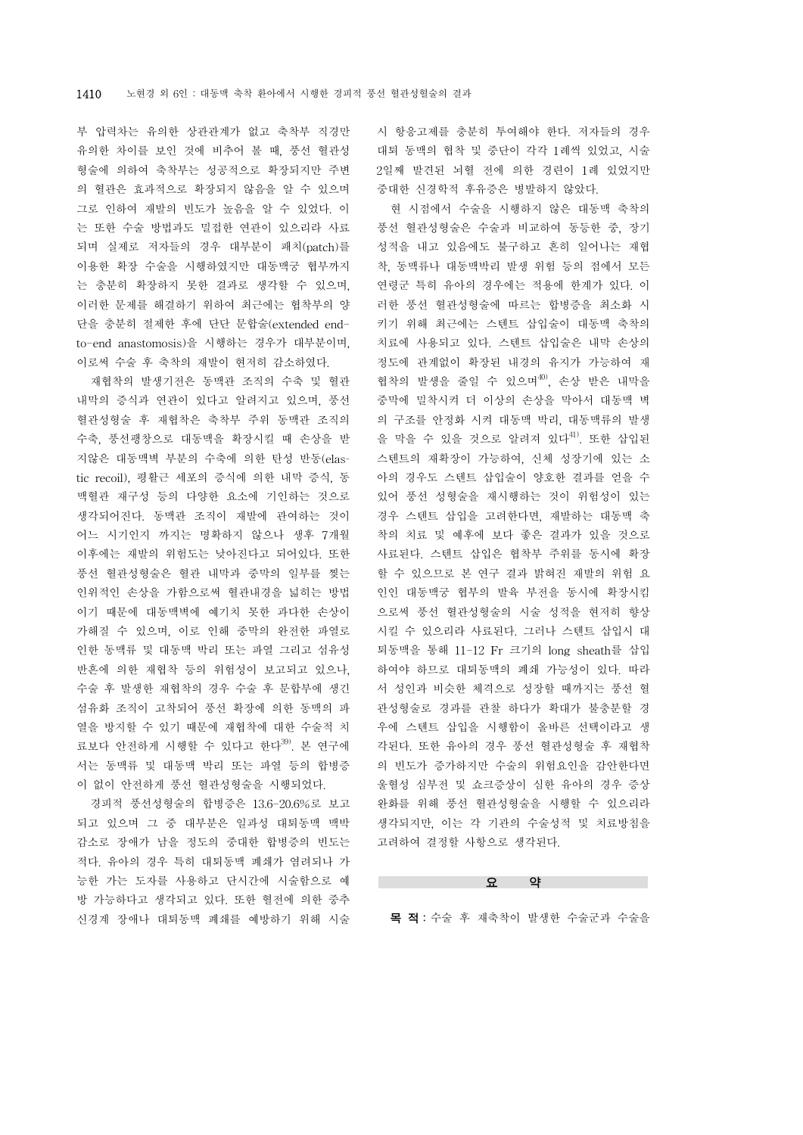부 압력차는 유의한 상관관계가 없고 축착부 직경만 유의한 차이를 보인 것에 비추어 볼 때, 풍선 혈관성 형술에 의하여 축착부는 성공적으로 확장되지만 주변 의 혈관은 효과적으로 확장되지 않음을 알 수 있으며 그로 인하여 재발의 빈도가 높음을 알 수 있었다. 이 는 또한 수술 방법과도 밀접한 연관이 있으리라 사료 되며 실제로 저자들의 경우 대부분이 패치(patch)를 이용한 확장 수술을 시행하였지만 대동맥궁 협부까지 는 충분히 확장하지 못한 결과로 생각할 수 있으며, 이러한 문제를 해결하기 위하여 최근에는 협착부의 양 단을 충분히 절제한 후에 단단 문합술(extended endto-end anastomosis)을 시행하는 경우가 대부분이며, 이로써 수술 후 축착의 재발이 현저히 감소하였다.

재협착의 발생기전은 동맥관 조직의 수축 및 혈관 내막의 증식과 연관이 있다고 알려지고 있으며, 풍선 혈관성형술 후 재협착은 축착부 주위 동맥관 조직의 수축, 풍선팽창으로 대동맥을 확장시킬 때 손상을 받 지않은 대동맥벽 부분의 수축에 의한 탄성 반동(elastic recoil), 평활근 세포의 증식에 의한 내막 증식, 동 맥혈관 재구성 등의 다양한 요소에 기인하는 것으로 생각되어진다. 동맥관 조직이 재발에 관여하는 것이 어느 시기인지 까지는 명확하지 않으나 생후 7개월 이후에는 재발의 위험도는 낮아진다고 되어있다. 또한 풍선 혈관성형술은 혈관 내막과 중막의 일부를 찢는 인위적인 손상을 가함으로써 혈관내경을 넓히는 방법 이기 때문에 대동맥벽에 예기치 못한 과다한 손상이 가해질 수 있으며, 이로 인해 중막의 완전한 파열로 인한 동맥류 및 대동맥 박리 또는 파열 그리고 섬유성 반흔에 의한 재협착 등의 위험성이 보고되고 있으나, 수술 후 발생한 재협착의 경우 수술 후 문합부에 생긴 섬유화 조직이 고착되어 풍선 확장에 의한 동맥의 파 열을 방지할 수 있기 때문에 재협착에 대한 수술적 치 료보다 안전하게 시행할 수 있다고 한다39). 본 연구에 서는 동맥류 및 대동맥 박리 또는 파열 등의 합병증 이 없이 안전하게 풍선 혈관성형술을 시행되었다.

경피적 풍선성형술의 합병증은 13.6-20.6%로 보고 되고 있으며 그 중 대부분은 일과성 대퇴동맥 맥박 감소로 장애가 남을 정도의 중대한 합병증의 빈도는 적다. 유아의 경우 특히 대퇴동맥 폐쇄가 염려되나 가 능한 가는 도자를 사용하고 단시간에 시술함으로 예 방 가능하다고 생각되고 있다. 또한 혈전에 의한 중추 신경계 장애나 대퇴동맥 폐쇄를 예방하기 위해 시술

시 항응고제를 충분히 투여해야 한다. 저자들의 경우 대퇴 동맥의 협착 및 중단이 각각 1례씩 있었고, 시술 2일째 발견된 뇌혈 전에 의한 경련이 1례 있었지만 중대한 신경학적 후유증은 병발하지 않았다.

현 시점에서 수술을 시행하지 않은 대동맥 축착의 풍선 혈관성형술은 수술과 비교하여 동등한 중, 장기 성적을 내고 있음에도 불구하고 흔히 일어나는 재협 착, 동맥류나 대동맥박리 발생 위험 등의 점에서 모든 연령군 특히 유아의 경우에는 적용에 한계가 있다. 이 러한 풍선 혈관성형술에 따르는 합병증을 최소화 시 키기 위해 최근에는 스텐트 삽입술이 대동맥 축착의 치료에 사용되고 있다. 스텐트 삽입술은 내막 손상의 정도에 관계없이 확장된 내경의 유지가 가능하여 재 협착의 발생을 줄일 수 있으며<sup>40)</sup>, 손상 받은 내막을 중막에 밀착시켜 더 이상의 손상을 막아서 대동맥 벽 의 구조를 안정화 시켜 대동맥 박리, 대동맥류의 발생 을 막을 수 있을 것으로 알려져 있다<sup>41)</sup>. 또한 삽입된 스텐트의 재확장이 가능하여, 신체 성장기에 있는 소 아의 경우도 스텐트 삽입술이 양호한 결과를 얻을 수 있어 풍선 성형술을 재시행하는 것이 위험성이 있는 경우 스텐트 삽입을 고려한다면, 재발하는 대동맥 축 착의 치료 및 예후에 보다 좋은 결과가 있을 것으로 사료된다. 스텐트 삽입은 협착부 주위를 동시에 확장 할 수 있으므로 본 연구 결과 밝혀진 재발의 위험 요 인인 대동맥궁 협부의 발육 부전을 동시에 확장시킴 으로써 풍선 혈관성형술의 시술 성적을 현저히 향상 시킬 수 있으리라 사료된다. 그러나 스텐트 삽입시 대 퇴동맥을 통해 11-12 Fr 크기의 long sheath를 삽입 하여야 하므로 대퇴동맥의 폐쇄 가능성이 있다. 따라 서 성인과 비슷한 체격으로 성장할 때까지는 풍선 혈 관성형술로 경과를 관찰 하다가 확대가 불충분할 경 우에 스텐트 삽입을 시행함이 올바른 선택이라고 생 각된다. 또한 유아의 경우 풍선 혈관성형술 후 재협착 의 빈도가 증가하지만 수술의 위험요인을 감안한다면 울혈성 심부전 및 쇼크증상이 심한 유아의 경우 증상 완화를 위해 풍선 혈관성형술을 시행할 수 있으리라 생각되지만, 이는 각 기관의 수술성적 및 치료방침을 고려하여 결정할 사항으로 생각된다.

#### 고 있는 오 약 기

목 적: 수술 후 재축착이 발생한 수술군과 수술을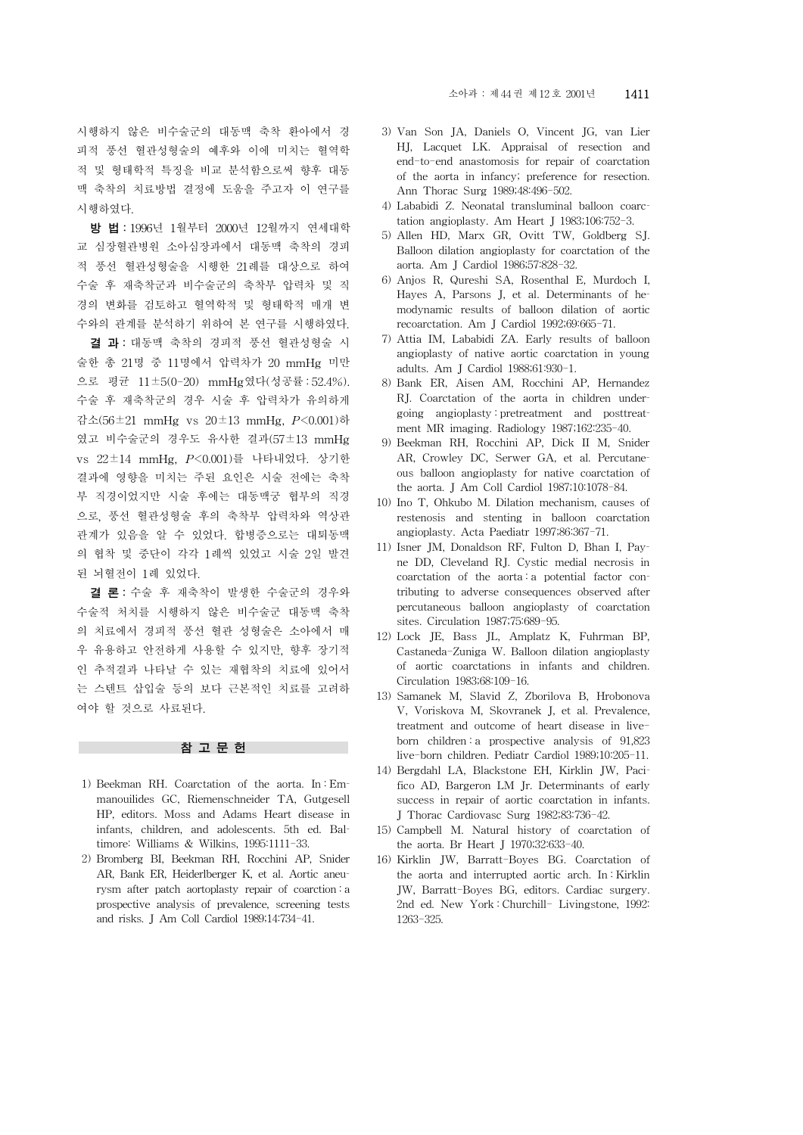방 법: 1996년 1월부터 2000년 12월까지 연세대학 교 심장혈관병원 소아심장과에서 대동맥 축착의 경피 적 풍선 혈관성형술을 시행한 21례를 대상으로 하여 수술 후 재축착군과 비수술군의 축착부 압력차 및 직 경의 변화를 검토하고 혈역학적 및 형태학적 매개 변 수와의 관계를 분석하기 위하여 본 연구를 시행하였다.

결 과: 대동맥 축착의 경피적 풍선 혈관성형술 시 술한 총 21명 중 11명에서 압력차가 20 mmHg 미만 으로 평균 11±5(0-20) mmHg였다(성공률 : 52.4%). 수술 후 재축착군의 경우 시술 후 압력차가 유의하게 감소(56±21 mmHg vs 20±13 mmHg, *P*<0.001)하 였고 비수술군의 경우도 유사한 결과(57±13 mmHg vs 22±14 mmHg, *P*<0.001)를 나타내었다. 상기한 결과에 영향을 미치는 주된 요인은 시술 전에는 축착 부 직경이었지만 시술 후에는 대동맥궁 협부의 직경 으로, 풍선 혈관성형술 후의 축착부 압력차와 역상관 관계가 있음을 알 수 있었다. 합병증으로는 대퇴동맥 의 협착 및 중단이 각각 1례씩 있었고 시술 2일 발견 된 뇌혈전이 1례 있었다.

결 론: 수술 후 재축착이 발생한 수술군의 경우와 수술적 처치를 시행하지 않은 비수술군 대동맥 축착 의 치료에서 경피적 풍선 혈관 성형술은 소아에서 매 우 유용하고 안전하게 사용할 수 있지만, 향후 장기적 인 추적결과 나타날 수 있는 재협착의 치료에 있어서 는 스텐트 삽입술 등의 보다 근본적인 치료를 고려하 여야 할 것으로 사료된다.

## 참고문헌

- 1) Beekman RH. Coarctation of the aorta. In : Emmanouilides GC, Riemenschneider TA, Gutgesell HP, editors. Moss and Adams Heart disease in infants, children, and adolescents. 5th ed. Baltimore: Williams & Wilkins, 1995:1111-33.
- 2) Bromberg BI, Beekman RH, Rocchini AP, Snider AR, Bank ER, Heiderlberger K, et al. Aortic aneurysm after patch aortoplasty repair of coarction : a prospective analysis of prevalence, screening tests and risks. J Am Coll Cardiol 1989;14:734-41.
- 3) Van Son JA, Daniels O, Vincent JG, van Lier HJ, Lacquet LK. Appraisal of resection and end-to-end anastomosis for repair of coarctation of the aorta in infancy; preference for resection. Ann Thorac Surg 1989;48:496-502.
- 4) Lababidi Z. Neonatal transluminal balloon coarctation angioplasty. Am Heart J 1983;106:752-3.
- 5) Allen HD, Marx GR, Ovitt TW, Goldberg SJ. Balloon dilation angioplasty for coarctation of the aorta. Am J Cardiol 1986;57:828-32.
- 6) Anjos R, Qureshi SA, Rosenthal E, Murdoch I, Hayes A, Parsons J, et al. Determinants of hemodynamic results of balloon dilation of aortic recoarctation. Am J Cardiol 1992;69:665-71.
- 7) Attia IM, Lababidi ZA. Early results of balloon angioplasty of native aortic coarctation in young adults. Am J Cardiol 1988;61:930-1.
- 8) Bank ER, Aisen AM, Rocchini AP, Hernandez RJ. Coarctation of the aorta in children undergoing angioplasty : pretreatment and posttreatment MR imaging. Radiology 1987;162:235-40.
- 9) Beekman RH, Rocchini AP, Dick II M, Snider AR, Crowley DC, Serwer GA, et al. Percutaneous balloon angioplasty for native coarctation of the aorta. J Am Coll Cardiol 1987;10:1078-84.
- 10) Ino T, Ohkubo M. Dilation mechanism, causes of restenosis and stenting in balloon coarctation angioplasty. Acta Paediatr 1997;86:367-71.
- 11) Isner JM, Donaldson RF, Fulton D, Bhan I, Payne DD, Cleveland RJ. Cystic medial necrosis in coarctation of the aorta : a potential factor contributing to adverse consequences observed after percutaneous balloon angioplasty of coarctation sites. Circulation 1987;75:689-95.
- 12) Lock JE, Bass JL, Amplatz K, Fuhrman BP, Castaneda-Zuniga W. Balloon dilation angioplasty of aortic coarctations in infants and children. Circulation 1983;68:109-16.
- 13) Samanek M, Slavid Z, Zborilova B, Hrobonova V, Voriskova M, Skovranek J, et al. Prevalence, treatment and outcome of heart disease in liveborn children : a prospective analysis of 91,823 live-born children. Pediatr Cardiol 1989;10:205-11.
- 14) Bergdahl LA, Blackstone EH, Kirklin JW, Pacifico AD, Bargeron LM Jr. Determinants of early success in repair of aortic coarctation in infants. J Thorac Cardiovasc Surg 1982;83:736-42.
- 15) Campbell M. Natural history of coarctation of the aorta. Br Heart J 1970;32:633-40.
- 16) Kirklin JW, Barratt-Boyes BG. Coarctation of the aorta and interrupted aortic arch. In : Kirklin JW, Barratt-Boyes BG, editors. Cardiac surgery. 2nd ed. New York : Churchill- Livingstone, 1992: 1263-325.